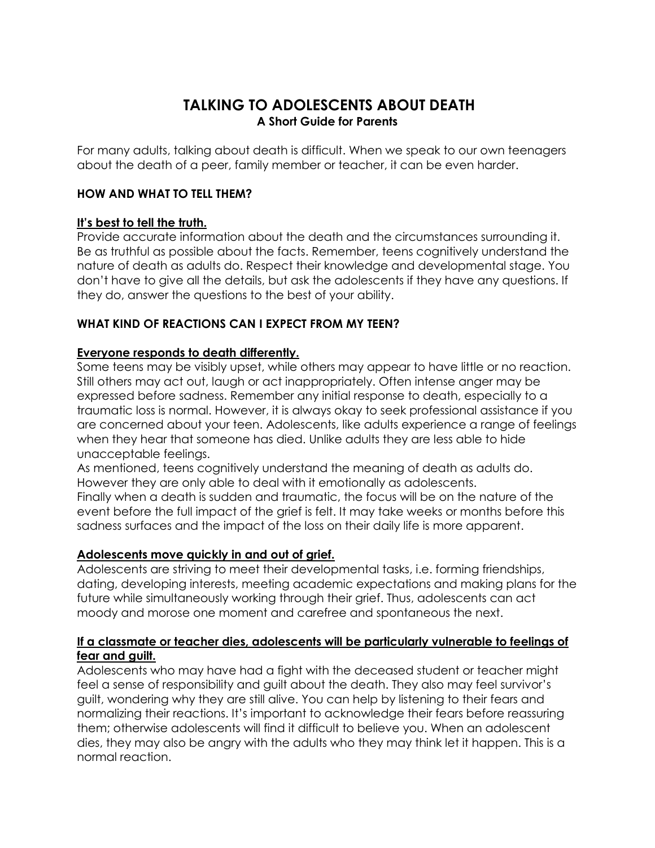# **TALKING TO ADOLESCENTS ABOUT DEATH A Short Guide for Parents**

For many adults, talking about death is difficult. When we speak to our own teenagers about the death of a peer, family member or teacher, it can be even harder.

## **HOW AND WHAT TO TELL THEM?**

## **It's best to tell the truth.**

Provide accurate information about the death and the circumstances surrounding it. Be as truthful as possible about the facts. Remember, teens cognitively understand the nature of death as adults do. Respect their knowledge and developmental stage. You don't have to give all the details, but ask the adolescents if they have any questions. If they do, answer the questions to the best of your ability.

## **WHAT KIND OF REACTIONS CAN I EXPECT FROM MY TEEN?**

## **Everyone responds to death differently.**

Some teens may be visibly upset, while others may appear to have little or no reaction. Still others may act out, laugh or act inappropriately. Often intense anger may be expressed before sadness. Remember any initial response to death, especially to a traumatic loss is normal. However, it is always okay to seek professional assistance if you are concerned about your teen. Adolescents, like adults experience a range of feelings when they hear that someone has died. Unlike adults they are less able to hide unacceptable feelings.

As mentioned, teens cognitively understand the meaning of death as adults do. However they are only able to deal with it emotionally as adolescents.

Finally when a death is sudden and traumatic, the focus will be on the nature of the event before the full impact of the grief is felt. It may take weeks or months before this sadness surfaces and the impact of the loss on their daily life is more apparent.

#### **Adolescents move quickly in and out of grief.**

Adolescents are striving to meet their developmental tasks, i.e. forming friendships, dating, developing interests, meeting academic expectations and making plans for the future while simultaneously working through their grief. Thus, adolescents can act moody and morose one moment and carefree and spontaneous the next.

## **If a classmate or teacher dies, adolescents will be particularly vulnerable to feelings of fear and guilt.**

Adolescents who may have had a fight with the deceased student or teacher might feel a sense of responsibility and guilt about the death. They also may feel survivor's guilt, wondering why they are still alive. You can help by listening to their fears and normalizing their reactions. It's important to acknowledge their fears before reassuring them; otherwise adolescents will find it difficult to believe you. When an adolescent dies, they may also be angry with the adults who they may think let it happen. This is a normal reaction.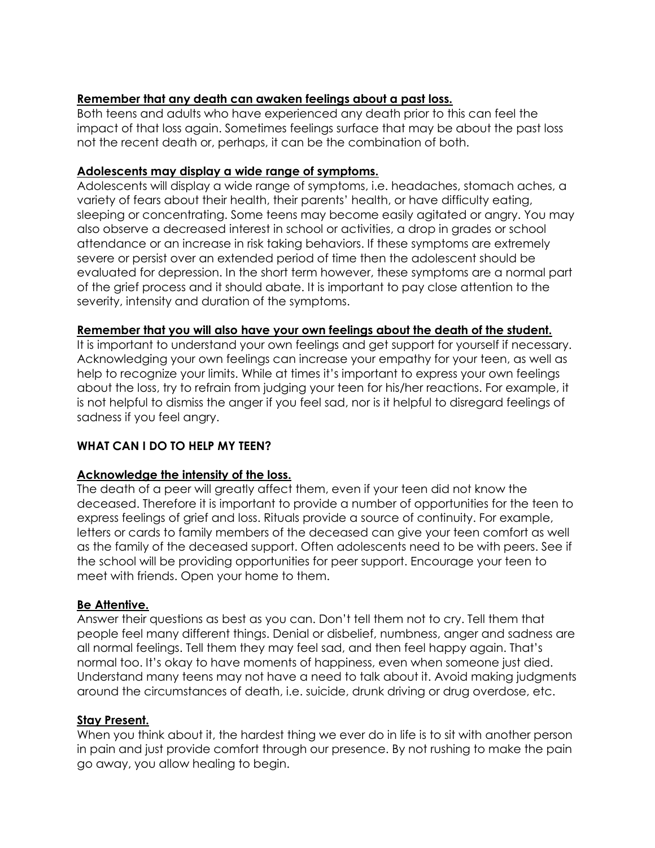# **Remember that any death can awaken feelings about a past loss.**

Both teens and adults who have experienced any death prior to this can feel the impact of that loss again. Sometimes feelings surface that may be about the past loss not the recent death or, perhaps, it can be the combination of both.

## **Adolescents may display a wide range of symptoms.**

Adolescents will display a wide range of symptoms, i.e. headaches, stomach aches, a variety of fears about their health, their parents' health, or have difficulty eating, sleeping or concentrating. Some teens may become easily agitated or angry. You may also observe a decreased interest in school or activities, a drop in grades or school attendance or an increase in risk taking behaviors. If these symptoms are extremely severe or persist over an extended period of time then the adolescent should be evaluated for depression. In the short term however, these symptoms are a normal part of the grief process and it should abate. It is important to pay close attention to the severity, intensity and duration of the symptoms.

## **Remember that you will also have your own feelings about the death of the student.**

It is important to understand your own feelings and get support for yourself if necessary. Acknowledging your own feelings can increase your empathy for your teen, as well as help to recognize your limits. While at times it's important to express your own feelings about the loss, try to refrain from judging your teen for his/her reactions. For example, it is not helpful to dismiss the anger if you feel sad, nor is it helpful to disregard feelings of sadness if you feel angry.

# **WHAT CAN I DO TO HELP MY TEEN?**

# **Acknowledge the intensity of the loss.**

The death of a peer will greatly affect them, even if your teen did not know the deceased. Therefore it is important to provide a number of opportunities for the teen to express feelings of grief and loss. Rituals provide a source of continuity. For example, letters or cards to family members of the deceased can give your teen comfort as well as the family of the deceased support. Often adolescents need to be with peers. See if the school will be providing opportunities for peer support. Encourage your teen to meet with friends. Open your home to them.

#### **Be Attentive.**

Answer their questions as best as you can. Don't tell them not to cry. Tell them that people feel many different things. Denial or disbelief, numbness, anger and sadness are all normal feelings. Tell them they may feel sad, and then feel happy again. That's normal too. It's okay to have moments of happiness, even when someone just died. Understand many teens may not have a need to talk about it. Avoid making judgments around the circumstances of death, i.e. suicide, drunk driving or drug overdose, etc.

#### **Stay Present.**

When you think about it, the hardest thing we ever do in life is to sit with another person in pain and just provide comfort through our presence. By not rushing to make the pain go away, you allow healing to begin.